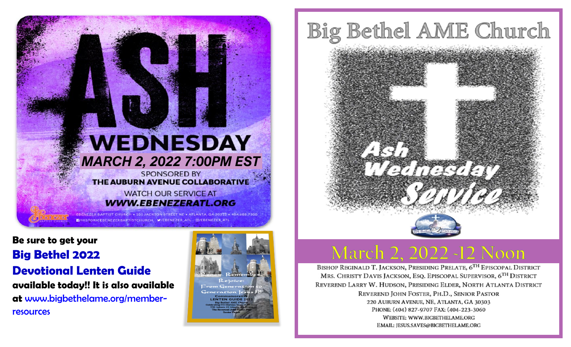

**Be sure to get your Big Bethel 2022 Devotional Lenten Guide available today!! It is also available at** www.bigbethelame.org/memberresources



# Big Bethel AME Church

# **March 2, 2022 -12 Noon**

BISHOP REGINALD T. JACKSON, PRESIDING PRELATE, 6TH EPISCOPAL DISTRICT MRS. CHRISTY DAVIS JACKSON, ESQ. EPISCOPAL SUPERVISOR, 6TH DISTRICT REVEREND LARRY W. HUDSON, PRESIDING ELDER, NORTH ATLANTA DISTRICT REVEREND JOHN FOSTER, PH.D., SENIOR PASTOR 220 AUBURN AVENUE, NE, ATLANTA, GA 30303 PHONE: (404) 827-9707 FAX: (404-223-3060 WEBSITE: WWW.BIGBETHELAME.ORG EMAIL: JESUS.SAVES@BIGBETHELAME.ORG